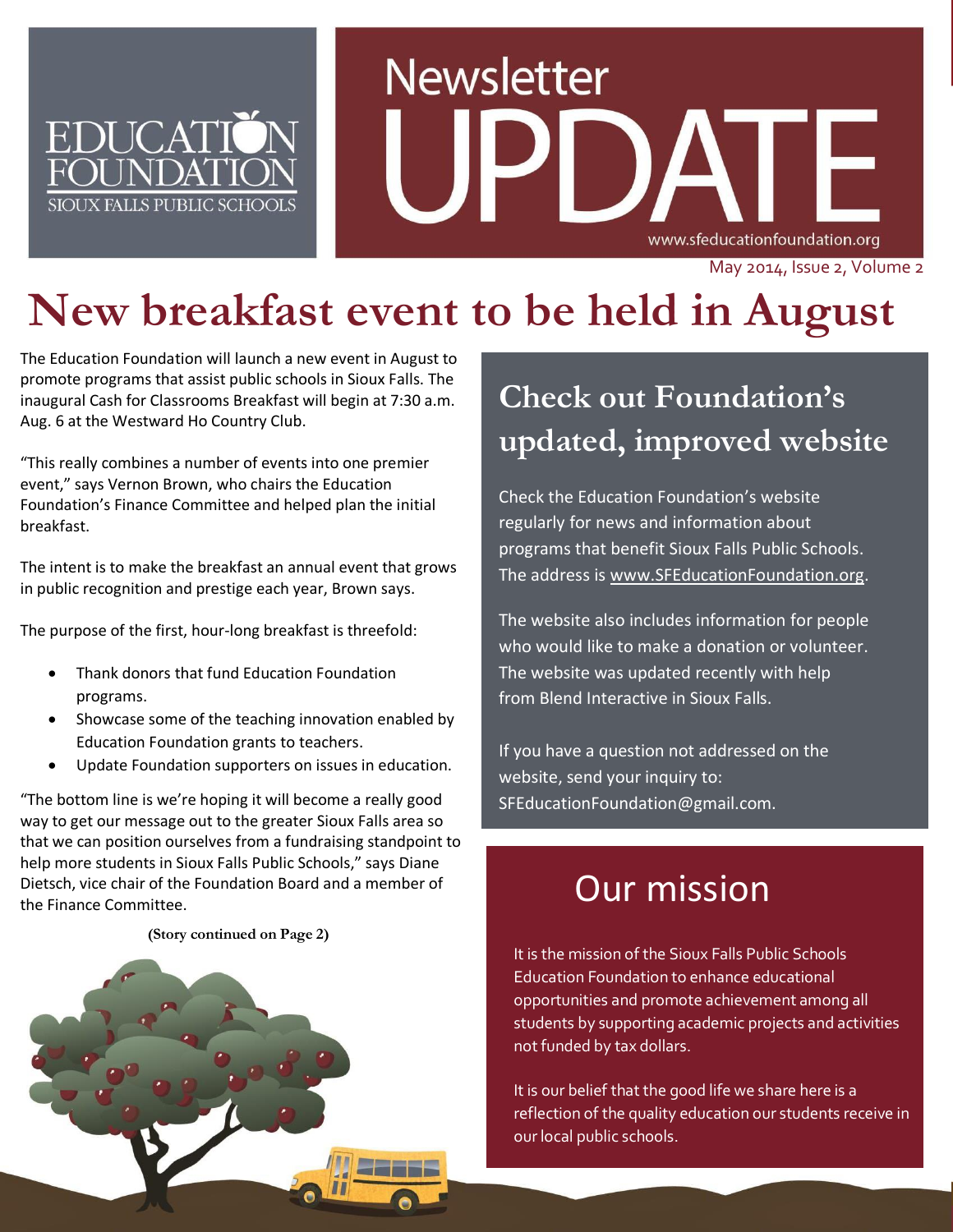

# **Newsletter** www.sfeducationfoundation.org

#### May 2014, Issue 2, Volume 2

# **New breakfast event to be held in August**

The Education Foundation will launch a new event in August to promote programs that assist public schools in Sioux Falls. The inaugural Cash for Classrooms Breakfast will begin at 7:30 a.m. Aug. 6 at the Westward Ho Country Club.

"This really combines a number of events into one premier event," says Vernon Brown, who chairs the Education Foundation's Finance Committee and helped plan the initial breakfast.

The intent is to make the breakfast an annual event that grows in public recognition and prestige each year, Brown says.

The purpose of the first, hour-long breakfast is threefold:

- Thank donors that fund Education Foundation programs.
- Showcase some of the teaching innovation enabled by Education Foundation grants to teachers.
- Update Foundation supporters on issues in education.

"The bottom line is we're hoping it will become a really good way to get our message out to the greater Sioux Falls area so that we can position ourselves from a fundraising standpoint to help more students in Sioux Falls Public Schools," says Diane Dietsch, vice chair of the Foundation Board and a member of the Finance Committee.

#### **(Story continued on Page 2)**



## **Check out Foundation's updated, improved website**

Check the Education Foundation's website regularly for news and information about programs that benefit Sioux Falls Public Schools. The address is [www.SFEducationFoundation.org.](http://www.sfeducationfoundation.org/)

The website also includes information for people who would like to make a donation or volunteer. The website was updated recently with help from Blend Interactive in Sioux Falls.

If you have a question not addressed on the website, send your inquiry to: SFEducationFoundation@gmail.com.

## Our mission

It is the mission of the Sioux Falls Public Schools Education Foundation to enhance educational opportunities and promote achievement among all students by supporting academic projects and activities not funded by tax dollars.

It is our belief that the good life we share here is a reflection of the quality education our students receive in our local public schools.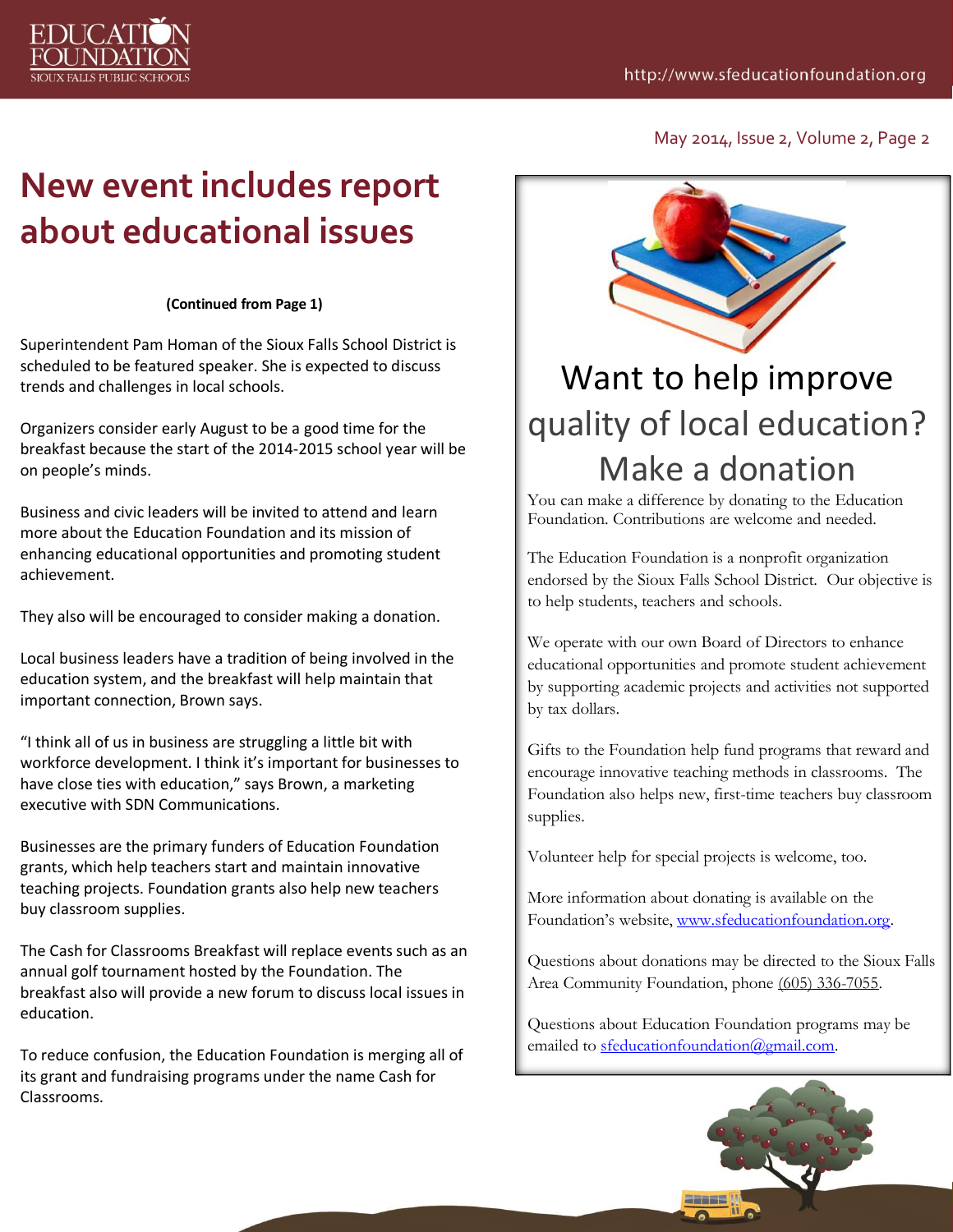

May 2014, Issue 2, Volume 2, Page 2

# **New event includes report about educational issues**

#### **(Continued from Page 1)**

Superintendent Pam Homan of the Sioux Falls School District is scheduled to be featured speaker. She is expected to discuss trends and challenges in local schools.

Organizers consider early August to be a good time for the breakfast because the start of the 2014-2015 school year will be on people's minds.

Business and civic leaders will be invited to attend and learn more about the Education Foundation and its mission of enhancing educational opportunities and promoting student achievement.

They also will be encouraged to consider making a donation.

Local business leaders have a tradition of being involved in the education system, and the breakfast will help maintain that important connection, Brown says.

"I think all of us in business are struggling a little bit with workforce development. I think it's important for businesses to have close ties with education," says Brown, a marketing executive with SDN Communications.

Businesses are the primary funders of Education Foundation grants, which help teachers start and maintain innovative teaching projects. Foundation grants also help new teachers buy classroom supplies.

The Cash for Classrooms Breakfast will replace events such as an annual golf tournament hosted by the Foundation. The breakfast also will provide a new forum to discuss local issues in education.

To reduce confusion, the Education Foundation is merging all of its grant and fundraising programs under the name Cash for Classrooms.



# Want to help improve quality of local education? Make a donation

You can make a difference by donating to the Education Foundation. Contributions are welcome and needed.

The Education Foundation is a nonprofit organization endorsed by the Sioux Falls School District. Our objective is to help students, teachers and schools.

We operate with our own Board of Directors to enhance educational opportunities and promote student achievement by supporting academic projects and activities not supported by tax dollars.

Gifts to the Foundation help fund programs that reward and encourage innovative teaching methods in classrooms. The Foundation also helps new, first-time teachers buy classroom supplies.

Volunteer help for special projects is welcome, too.

More information about donating is available on the Foundation's website, [www.sfeducationfoundation.org.](http://www.sfeducationfoundation.org/)

Questions about donations may be directed to the Sioux Falls Area Community Foundation, phone [\(605\) 336-7055.](tel:%28605%29%20336-7055) 

Questions about Education Foundation programs may be emailed to [sfeducationfoundation@gmail.com.](mailto:sfeducationfoundation@gmail.com)

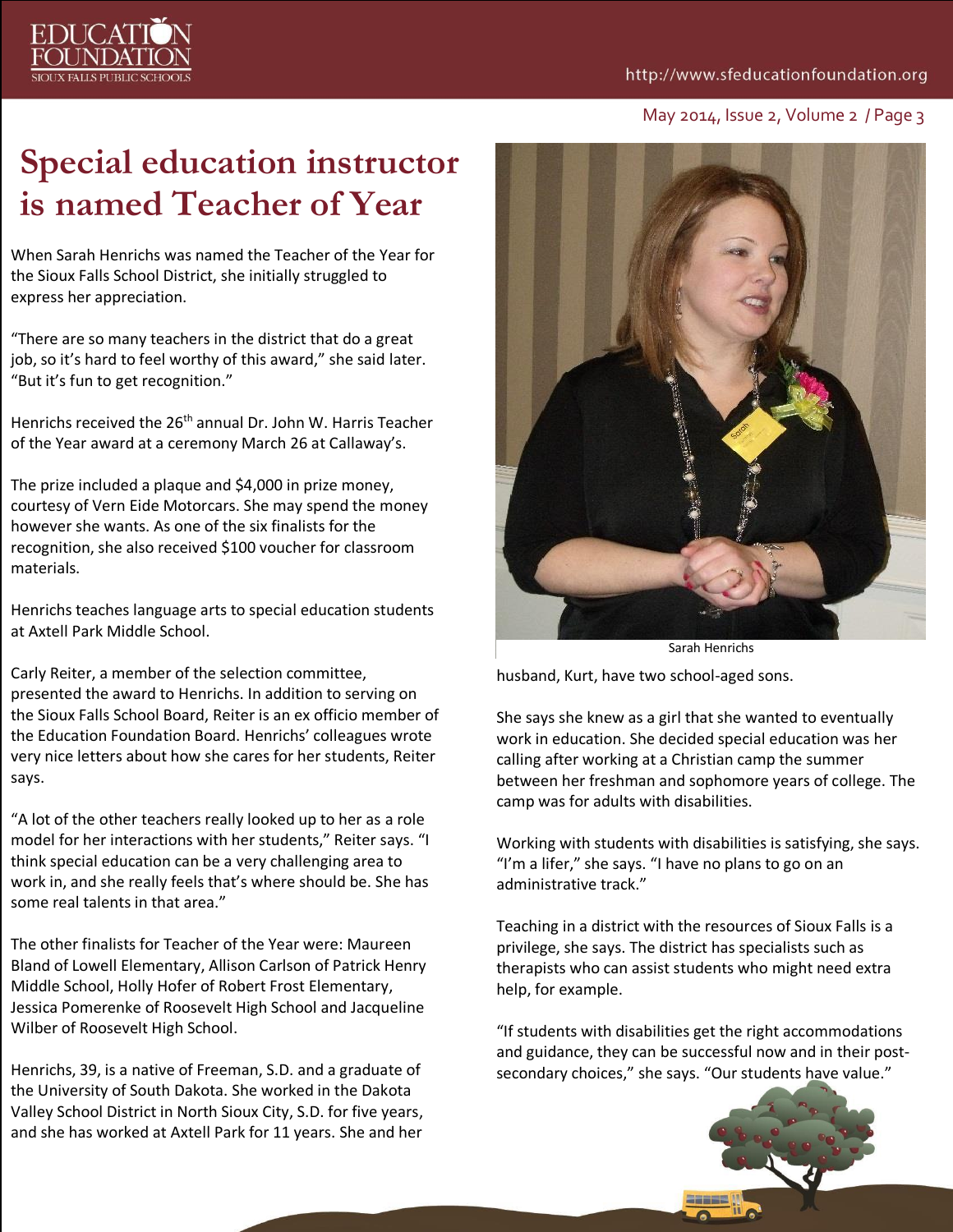#### http://www.sfeducationfoundation.org



# **DI ICAT**

## **Special education instructor is named Teacher of Year**

When Sarah Henrichs was named the Teacher of the Year for the Sioux Falls School District, she initially struggled to express her appreciation.

"There are so many teachers in the district that do a great job, so it's hard to feel worthy of this award," she said later. "But it's fun to get recognition."

Henrichs received the 26<sup>th</sup> annual Dr. John W. Harris Teacher of the Year award at a ceremony March 26 at Callaway's.

The prize included a plaque and \$4,000 in prize money, courtesy of Vern Eide Motorcars. She may spend the money however she wants. As one of the six finalists for the recognition, she also received \$100 voucher for classroom materials.

Henrichs teaches language arts to special education students at Axtell Park Middle School.

Carly Reiter, a member of the selection committee, presented the award to Henrichs. In addition to serving on the Sioux Falls School Board, Reiter is an ex officio member of the Education Foundation Board. Henrichs' colleagues wrote very nice letters about how she cares for her students, Reiter says.

"A lot of the other teachers really looked up to her as a role model for her interactions with her students," Reiter says. "I think special education can be a very challenging area to work in, and she really feels that's where should be. She has some real talents in that area."

The other finalists for Teacher of the Year were: Maureen Bland of Lowell Elementary, Allison Carlson of Patrick Henry Middle School, Holly Hofer of Robert Frost Elementary, Jessica Pomerenke of Roosevelt High School and Jacqueline Wilber of Roosevelt High School.

Henrichs, 39, is a native of Freeman, S.D. and a graduate of the University of South Dakota. She worked in the Dakota Valley School District in North Sioux City, S.D. for five years, and she has worked at Axtell Park for 11 years. She and her



Sarah Henrichs

husband, Kurt, have two school-aged sons.

She says she knew as a girl that she wanted to eventually work in education. She decided special education was her calling after working at a Christian camp the summer between her freshman and sophomore years of college. The camp was for adults with disabilities.

Working with students with disabilities is satisfying, she says. "I'm a lifer," she says. "I have no plans to go on an administrative track."

Teaching in a district with the resources of Sioux Falls is a privilege, she says. The district has specialists such as therapists who can assist students who might need extra help, for example.

"If students with disabilities get the right accommodations and guidance, they can be successful now and in their postsecondary choices," she says. "Our students have value."